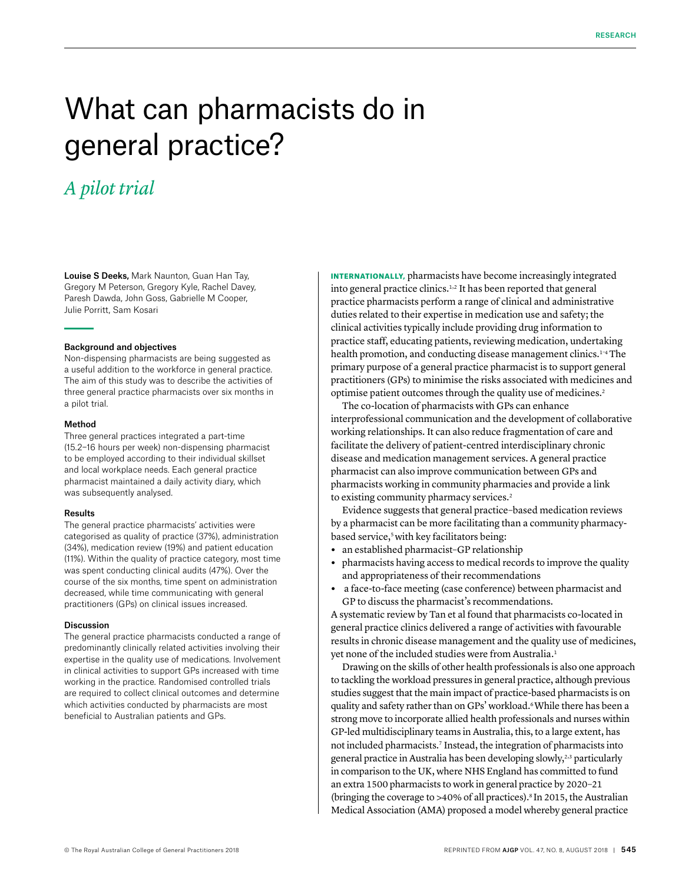# What can pharmacists do in general practice?

# *A pilot trial*

Louise S Deeks, Mark Naunton, Guan Han Tay, Gregory M Peterson, Gregory Kyle, Rachel Davey, Paresh Dawda, John Goss, Gabrielle M Cooper, Julie Porritt, Sam Kosari

# Background and objectives

Non-dispensing pharmacists are being suggested as a useful addition to the workforce in general practice. The aim of this study was to describe the activities of three general practice pharmacists over six months in a pilot trial.

#### Method

Three general practices integrated a part-time (15.2−16 hours per week) non-dispensing pharmacist to be employed according to their individual skillset and local workplace needs. Each general practice pharmacist maintained a daily activity diary, which was subsequently analysed.

### Results

The general practice pharmacists' activities were categorised as quality of practice (37%), administration (34%), medication review (19%) and patient education (11%). Within the quality of practice category, most time was spent conducting clinical audits (47%). Over the course of the six months, time spent on administration decreased, while time communicating with general practitioners (GPs) on clinical issues increased.

# Discussion

The general practice pharmacists conducted a range of predominantly clinically related activities involving their expertise in the quality use of medications. Involvement in clinical activities to support GPs increased with time working in the practice. Randomised controlled trials are required to collect clinical outcomes and determine which activities conducted by pharmacists are most beneficial to Australian patients and GPs.

INTERNATIONALLY, pharmacists have become increasingly integrated into general practice clinics.1,2 It has been reported that general practice pharmacists perform a range of clinical and administrative duties related to their expertise in medication use and safety; the clinical activities typically include providing drug information to practice staff, educating patients, reviewing medication, undertaking health promotion, and conducting disease management clinics.<sup>1-4</sup> The primary purpose of a general practice pharmacist is to support general practitioners (GPs) to minimise the risks associated with medicines and optimise patient outcomes through the quality use of medicines.2

The co-location of pharmacists with GPs can enhance interprofessional communication and the development of collaborative working relationships. It can also reduce fragmentation of care and facilitate the delivery of patient-centred interdisciplinary chronic disease and medication management services. A general practice pharmacist can also improve communication between GPs and pharmacists working in community pharmacies and provide a link to existing community pharmacy services.<sup>2</sup>

Evidence suggests that general practice–based medication reviews by a pharmacist can be more facilitating than a community pharmacybased service,<sup>5</sup> with key facilitators being:

- **•** an established pharmacist–GP relationship
- **•** pharmacists having access to medical records to improve the quality and appropriateness of their recommendations
- **•** a face-to-face meeting (case conference) between pharmacist and GP to discuss the pharmacist's recommendations.

A systematic review by Tan et al found that pharmacists co-located in general practice clinics delivered a range of activities with favourable results in chronic disease management and the quality use of medicines, yet none of the included studies were from Australia.<sup>1</sup>

Drawing on the skills of other health professionals is also one approach to tackling the workload pressures in general practice, although previous studies suggest that the main impact of practice-based pharmacists is on quality and safety rather than on GPs' workload.<sup>6</sup>While there has been a strong move to incorporate allied health professionals and nurses within GP-led multidisciplinary teams in Australia, this, to a large extent, has not included pharmacists.7 Instead, the integration of pharmacists into general practice in Australia has been developing slowly,<sup>2,3</sup> particularly in comparison to the UK, where NHS England has committed to fund an extra 1500 pharmacists to work in general practice by 2020–21 (bringing the coverage to  $>40\%$  of all practices).<sup>8</sup> In 2015, the Australian Medical Association (AMA) proposed a model whereby general practice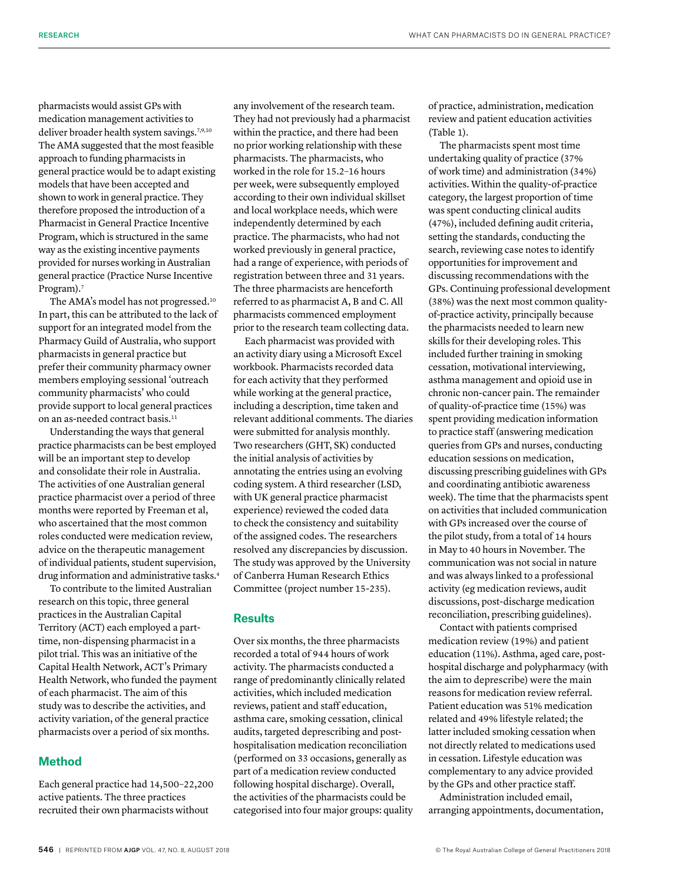pharmacists would assist GPs with medication management activities to deliver broader health system savings.<sup>7,9,10</sup> The AMA suggested that the most feasible approach to funding pharmacists in general practice would be to adapt existing models that have been accepted and shown to work in general practice. They therefore proposed the introduction of a Pharmacist in General Practice Incentive Program, which is structured in the same way as the existing incentive payments provided for nurses working in Australian general practice (Practice Nurse Incentive Program).<sup>7</sup>

The AMA's model has not progressed.10 In part, this can be attributed to the lack of support for an integrated model from the Pharmacy Guild of Australia, who support pharmacists in general practice but prefer their community pharmacy owner members employing sessional 'outreach community pharmacists' who could provide support to local general practices on an as-needed contract basis.<sup>11</sup>

Understanding the ways that general practice pharmacists can be best employed will be an important step to develop and consolidate their role in Australia. The activities of one Australian general practice pharmacist over a period of three months were reported by Freeman et al, who ascertained that the most common roles conducted were medication review, advice on the therapeutic management of individual patients, student supervision, drug information and administrative tasks.<sup>4</sup>

To contribute to the limited Australian research on this topic, three general practices in the Australian Capital Territory (ACT) each employed a parttime, non-dispensing pharmacist in a pilot trial. This was an initiative of the Capital Health Network, ACT's Primary Health Network, who funded the payment of each pharmacist. The aim of this study was to describe the activities, and activity variation, of the general practice pharmacists over a period of six months.

# **Method**

Each general practice had 14,500–22,200 active patients. The three practices recruited their own pharmacists without

any involvement of the research team. They had not previously had a pharmacist within the practice, and there had been no prior working relationship with these pharmacists. The pharmacists, who worked in the role for 15.2–16 hours per week, were subsequently employed according to their own individual skillset and local workplace needs, which were independently determined by each practice. The pharmacists, who had not worked previously in general practice, had a range of experience, with periods of registration between three and 31 years. The three pharmacists are henceforth referred to as pharmacist A, B and C. All pharmacists commenced employment prior to the research team collecting data.

Each pharmacist was provided with an activity diary using a Microsoft Excel workbook. Pharmacists recorded data for each activity that they performed while working at the general practice, including a description, time taken and relevant additional comments. The diaries were submitted for analysis monthly. Two researchers (GHT, SK) conducted the initial analysis of activities by annotating the entries using an evolving coding system. A third researcher (LSD, with UK general practice pharmacist experience) reviewed the coded data to check the consistency and suitability of the assigned codes. The researchers resolved any discrepancies by discussion. The study was approved by the University of Canberra Human Research Ethics Committee (project number 15-235).

# **Results**

Over six months, the three pharmacists recorded a total of 944 hours of work activity. The pharmacists conducted a range of predominantly clinically related activities, which included medication reviews, patient and staff education, asthma care, smoking cessation, clinical audits, targeted deprescribing and posthospitalisation medication reconciliation (performed on 33 occasions, generally as part of a medication review conducted following hospital discharge). Overall, the activities of the pharmacists could be categorised into four major groups: quality of practice, administration, medication review and patient education activities (Table 1).

The pharmacists spent most time undertaking quality of practice (37% of work time) and administration (34%) activities. Within the quality-of-practice category, the largest proportion of time was spent conducting clinical audits (47%), included defining audit criteria, setting the standards, conducting the search, reviewing case notes to identify opportunities for improvement and discussing recommendations with the GPs. Continuing professional development (38%) was the next most common qualityof-practice activity, principally because the pharmacists needed to learn new skills for their developing roles. This included further training in smoking cessation, motivational interviewing, asthma management and opioid use in chronic non-cancer pain. The remainder of quality-of-practice time (15%) was spent providing medication information to practice staff (answering medication queries from GPs and nurses, conducting education sessions on medication, discussing prescribing guidelines with GPs and coordinating antibiotic awareness week). The time that the pharmacists spent on activities that included communication with GPs increased over the course of the pilot study, from a total of 14 hours in May to 40 hours in November. The communication was not social in nature and was always linked to a professional activity (eg medication reviews, audit discussions, post-discharge medication reconciliation, prescribing guidelines).

Contact with patients comprised medication review (19%) and patient education (11%). Asthma, aged care, posthospital discharge and polypharmacy (with the aim to deprescribe) were the main reasons for medication review referral. Patient education was 51% medication related and 49% lifestyle related; the latter included smoking cessation when not directly related to medications used in cessation. Lifestyle education was complementary to any advice provided by the GPs and other practice staff.

Administration included email, arranging appointments, documentation,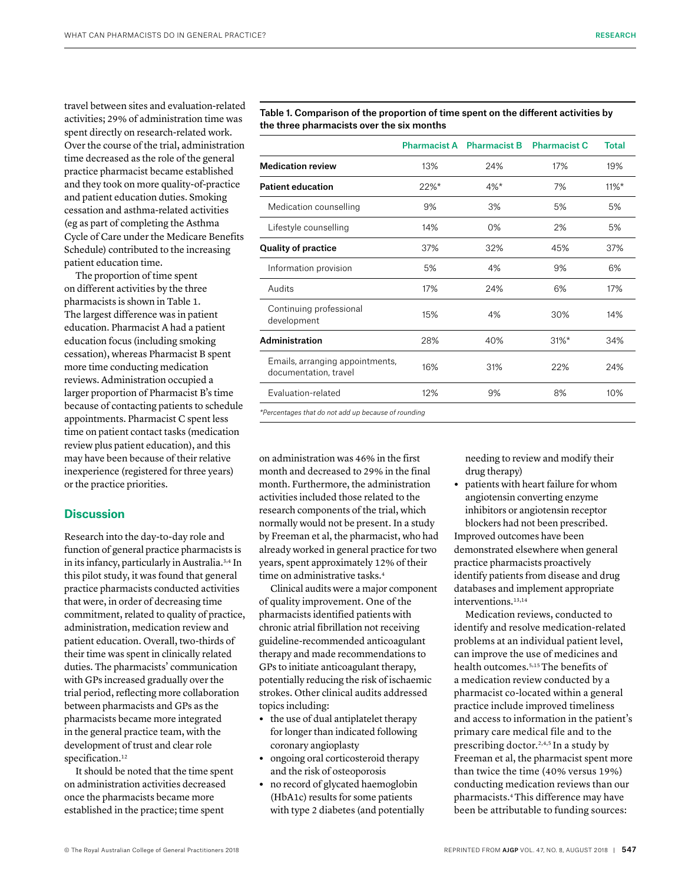travel between sites and evaluation-related activities; 29% of administration time was spent directly on research-related work. Over the course of the trial, administration time decreased as the role of the general practice pharmacist became established and they took on more quality-of-practice and patient education duties. Smoking cessation and asthma-related activities (eg as part of completing the Asthma Cycle of Care under the Medicare Benefits Schedule) contributed to the increasing patient education time.

The proportion of time spent on different activities by the three pharmacists is shown in Table 1. The largest difference was in patient education. Pharmacist A had a patient education focus (including smoking cessation), whereas Pharmacist B spent more time conducting medication reviews. Administration occupied a larger proportion of Pharmacist B's time because of contacting patients to schedule appointments. Pharmacist C spent less time on patient contact tasks (medication review plus patient education), and this may have been because of their relative inexperience (registered for three years) or the practice priorities.

# **Discussion**

Research into the day-to-day role and function of general practice pharmacists is in its infancy, particularly in Australia.3,4 In this pilot study, it was found that general practice pharmacists conducted activities that were, in order of decreasing time commitment, related to quality of practice, administration, medication review and patient education. Overall, two-thirds of their time was spent in clinically related duties. The pharmacists' communication with GPs increased gradually over the trial period, reflecting more collaboration between pharmacists and GPs as the pharmacists became more integrated in the general practice team, with the development of trust and clear role specification.<sup>12</sup>

It should be noted that the time spent on administration activities decreased once the pharmacists became more established in the practice; time spent

Table 1. Comparison of the proportion of time spent on the different activities by the three pharmacists over the six months

|                                                          | <b>Pharmacist A</b> | <b>Pharmacist B</b> | <b>Pharmacist C</b> | <b>Total</b> |
|----------------------------------------------------------|---------------------|---------------------|---------------------|--------------|
| <b>Medication review</b>                                 | 13%                 | 24%                 | 17%                 | 19%          |
| <b>Patient education</b>                                 | $22\%$ *            | $4%$ *              | 7%                  | $11\%$ *     |
| Medication counselling                                   | 9%                  | 3%                  | 5%                  | 5%           |
| Lifestyle counselling                                    | 14%                 | 0%                  | 2%                  | 5%           |
| <b>Quality of practice</b>                               | 37%                 | 32%                 | 45%                 | 37%          |
| Information provision                                    | 5%                  | 4%                  | 9%                  | 6%           |
| Audits                                                   | 17%                 | 24%                 | 6%                  | 17%          |
| Continuing professional<br>development                   | 15%                 | 4%                  | 30%                 | 14%          |
| Administration                                           | 28%                 | 40%                 | $31\%$ *            | 34%          |
| Emails, arranging appointments,<br>documentation, travel | 16%                 | 31%                 | 22%                 | 24%          |
| Evaluation-related                                       | 12%                 | 9%                  | 8%                  | 10%          |
|                                                          |                     |                     |                     |              |

*\*Percentages that do not add up because of rounding*

on administration was 46% in the first month and decreased to 29% in the final month. Furthermore, the administration activities included those related to the research components of the trial, which normally would not be present. In a study by Freeman et al, the pharmacist, who had already worked in general practice for two years, spent approximately 12% of their time on administrative tasks.<sup>4</sup>

Clinical audits were a major component of quality improvement. One of the pharmacists identified patients with chronic atrial fibrillation not receiving guideline-recommended anticoagulant therapy and made recommendations to GPs to initiate anticoagulant therapy, potentially reducing the risk of ischaemic strokes. Other clinical audits addressed topics including:

- **•** the use of dual antiplatelet therapy for longer than indicated following coronary angioplasty
- **•** ongoing oral corticosteroid therapy and the risk of osteoporosis
- **•** no record of glycated haemoglobin (HbA1c) results for some patients with type 2 diabetes (and potentially

needing to review and modify their drug therapy)

**•** patients with heart failure for whom angiotensin converting enzyme inhibitors or angiotensin receptor blockers had not been prescribed.

Improved outcomes have been demonstrated elsewhere when general practice pharmacists proactively identify patients from disease and drug databases and implement appropriate interventions.13,14

Medication reviews, conducted to identify and resolve medication-related problems at an individual patient level, can improve the use of medicines and health outcomes.5,15The benefits of a medication review conducted by a pharmacist co-located within a general practice include improved timeliness and access to information in the patient's primary care medical file and to the prescribing doctor.<sup>2,4,5</sup> In a study by Freeman et al, the pharmacist spent more than twice the time (40% versus 19%) conducting medication reviews than our pharmacists.4This difference may have been be attributable to funding sources: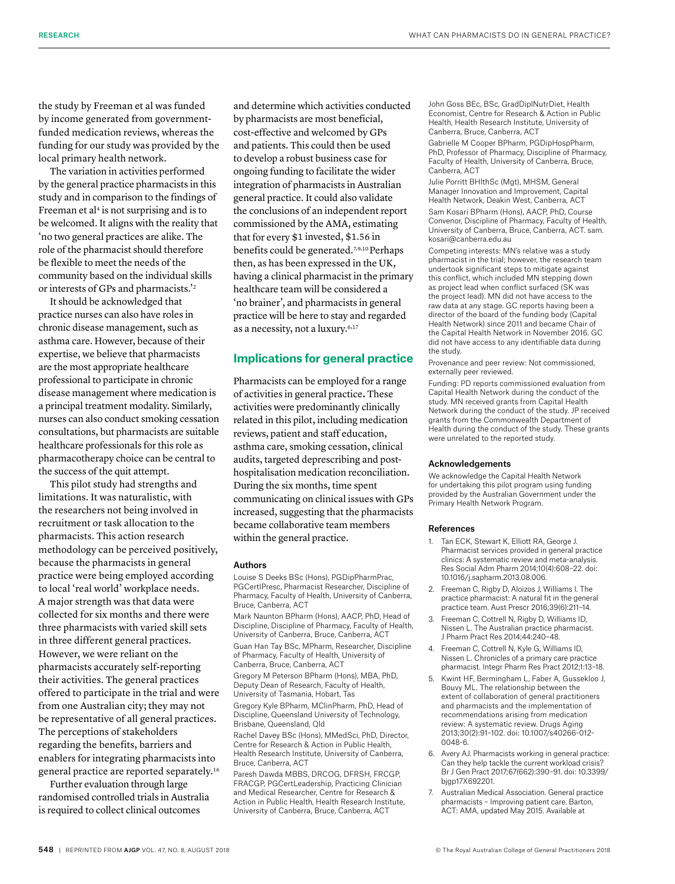the study by Freeman et al was funded by income generated from governmentfunded medication reviews, whereas the funding for our study was provided by the local primary health network.

The variation in activities performed by the general practice pharmacists in this study and in comparison to the findings of Freeman et al<sup>4</sup> is not surprising and is to be welcomed. It aligns with the reality that 'no two general practices are alike. The role of the pharmacist should therefore be flexible to meet the needs of the community based on the individual skills or interests of GPs and pharmacists.'2

It should be acknowledged that practice nurses can also have roles in chronic disease management, such as asthma care. However, because of their expertise, we believe that pharmacists are the most appropriate healthcare professional to participate in chronic disease management where medication is a principal treatment modality. Similarly, nurses can also conduct smoking cessation consultations, but pharmacists are suitable healthcare professionals for this role as pharmacotherapy choice can be central to the success of the quit attempt.

This pilot study had strengths and limitations. It was naturalistic, with the researchers not being involved in recruitment or task allocation to the pharmacists. This action research methodology can be perceived positively, because the pharmacists in general practice were being employed according to local 'real world' workplace needs. A major strength was that data were collected for six months and there were three pharmacists with varied skill sets in three different general practices. However, we were reliant on the pharmacists accurately self-reporting their activities. The general practices offered to participate in the trial and were from one Australian city; they may not be representative of all general practices. The perceptions of stakeholders regarding the benefits, barriers and enablers for integrating pharmacists into general practice are reported separately.16

Further evaluation through large randomised controlled trials in Australia is required to collect clinical outcomes

and determine which activities conducted by pharmacists are most beneficial, cost-effective and welcomed by GPs and patients. This could then be used to develop a robust business case for ongoing funding to facilitate the wider integration of pharmacists in Australian general practice. It could also validate the conclusions of an independent report commissioned by the AMA, estimating that for every \$1 invested, \$1.56 in benefits could be generated.7,9,10 Perhaps then, as has been expressed in the UK, having a clinical pharmacist in the primary healthcare team will be considered a 'no brainer', and pharmacists in general practice will be here to stay and regarded as a necessity, not a luxury.<sup>6,17</sup>

# **Implications for general practice**

Pharmacists can be employed for a range of activities in general practice**.** These activities were predominantly clinically related in this pilot, including medication reviews, patient and staff education, asthma care, smoking cessation, clinical audits, targeted deprescribing and posthospitalisation medication reconciliation. During the six months, time spent communicating on clinical issues with GPs increased, suggesting that the pharmacists became collaborative team members within the general practice.

#### Authors

Louise S Deeks BSc (Hons), PGDipPharmPrac, PGCertIPresc, Pharmacist Researcher, Discipline of Pharmacy, Faculty of Health, University of Canberra, Bruce, Canberra, ACT

Mark Naunton BPharm (Hons), AACP, PhD, Head of Discipline, Discipline of Pharmacy, Faculty of Health, University of Canberra, Bruce, Canberra, ACT Guan Han Tay BSc, MPharm, Researcher, Discipline of Pharmacy, Faculty of Health, University of Canberra, Bruce, Canberra, ACT

Gregory M Peterson BPharm (Hons), MBA, PhD, Deputy Dean of Research, Faculty of Health, University of Tasmania, Hobart, Tas

Gregory Kyle BPharm, MClinPharm, PhD, Head of Discipline, Queensland University of Technology, Brisbane, Queensland, Qld

Rachel Davey BSc (Hons), MMedSci, PhD, Director, Centre for Research & Action in Public Health, Health Research Institute, University of Canberra, Bruce, Canberra, ACT

Paresh Dawda MBBS, DRCOG, DFRSH, FRCGP, FRACGP, PGCertLeadership, Practicing Clinician and Medical Researcher, Centre for Research & Action in Public Health, Health Research Institute, University of Canberra, Bruce, Canberra, ACT

John Goss BEc, BSc, GradDiplNutrDiet, Health Economist, Centre for Research & Action in Public Health, Health Research Institute, University of Canberra, Bruce, Canberra, ACT

Gabrielle M Cooper BPharm, PGDipHospPharm, PhD, Professor of Pharmacy, Discipline of Pharmacy, Faculty of Health, University of Canberra, Bruce, Canberra, ACT

Julie Porritt BHlthSc (Mgt), MHSM, General Manager Innovation and Improvement, Capital Health Network, Deakin West, Canberra, ACT

Sam Kosari BPharm (Hons), AACP, PhD, Course Convenor, Discipline of Pharmacy, Faculty of Health, University of Canberra, Bruce, Canberra, ACT. sam. kosari@canberra.edu.au

Competing interests: MN's relative was a study pharmacist in the trial; however, the research team undertook significant steps to mitigate against this conflict, which included MN stepping down as project lead when conflict surfaced (SK was the project lead). MN did not have access to the raw data at any stage. GC reports having been a director of the board of the funding body (Capital Health Network) since 2011 and became Chair of the Capital Health Network in November 2016. GC did not have access to any identifiable data during the study.

Provenance and peer review: Not commissioned, externally peer reviewed.

Funding: PD reports commissioned evaluation from Capital Health Network during the conduct of the study. MN received grants from Capital Health Network during the conduct of the study. JP received grants from the Commonwealth Department of Health during the conduct of the study. These grants were unrelated to the reported study.

#### Acknowledgements

We acknowledge the Capital Health Network for undertaking this pilot program using funding provided by the Australian Government under the Primary Health Network Program.

#### References

- 1. Tan ECK, Stewart K, Elliott RA, George J. Pharmacist services provided in general practice clinics: A systematic review and meta-analysis. Res Social Adm Pharm 2014;10(4):608–22. doi: 10.1016/j.sapharm.2013.08.006.
- 2. Freeman C, Rigby D, Aloizos J, Williams I. The practice pharmacist: A natural fit in the general practice team. Aust Prescr 2016;39(6):211–14.
- 3. Freeman C, Cottrell N, Rigby D, Williams ID, Nissen L. The Australian practice pharmacist. J Pharm Pract Res 2014;44:240–48.
- 4. Freeman C, Cottrell N, Kyle G, Williams ID, Nissen L. Chronicles of a primary care practice pharmacist. Integr Pharm Res Pract 2012;1:13–18.
- 5. Kwint HF, Bermingham L, Faber A, Gussekloo J, Bouvy ML. The relationship between the extent of collaboration of general practitioners and pharmacists and the implementation of recommendations arising from medication review: A systematic review. Drugs Aging 2013;30(2):91–102. doi: 10.1007/s40266-012- 0048-6.
- 6. Avery AJ. Pharmacists working in general practice: Can they help tackle the current workload crisis? Br J Gen Pract 2017;67(662):390–91. doi: 10.3399/ bjgp17X692201.
- 7. Australian Medical Association. General practice pharmacists – Improving patient care. Barton, ACT: AMA, updated May 2015. Available at